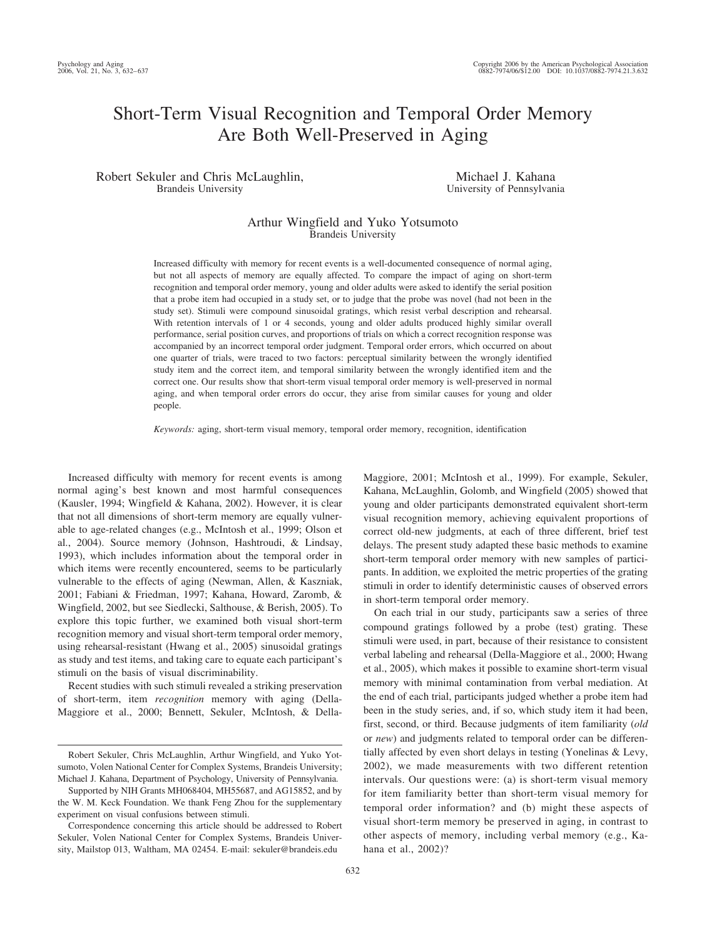# Short-Term Visual Recognition and Temporal Order Memory Are Both Well-Preserved in Aging

Robert Sekuler and Chris McLaughlin, Brandeis University

Michael J. Kahana University of Pennsylvania

# Arthur Wingfield and Yuko Yotsumoto Brandeis University

Increased difficulty with memory for recent events is a well-documented consequence of normal aging, but not all aspects of memory are equally affected. To compare the impact of aging on short-term recognition and temporal order memory, young and older adults were asked to identify the serial position that a probe item had occupied in a study set, or to judge that the probe was novel (had not been in the study set). Stimuli were compound sinusoidal gratings, which resist verbal description and rehearsal. With retention intervals of 1 or 4 seconds, young and older adults produced highly similar overall performance, serial position curves, and proportions of trials on which a correct recognition response was accompanied by an incorrect temporal order judgment. Temporal order errors, which occurred on about one quarter of trials, were traced to two factors: perceptual similarity between the wrongly identified study item and the correct item, and temporal similarity between the wrongly identified item and the correct one. Our results show that short-term visual temporal order memory is well-preserved in normal aging, and when temporal order errors do occur, they arise from similar causes for young and older people.

*Keywords:* aging, short-term visual memory, temporal order memory, recognition, identification

Increased difficulty with memory for recent events is among normal aging's best known and most harmful consequences (Kausler, 1994; Wingfield & Kahana, 2002). However, it is clear that not all dimensions of short-term memory are equally vulnerable to age-related changes (e.g., McIntosh et al., 1999; Olson et al., 2004). Source memory (Johnson, Hashtroudi, & Lindsay, 1993), which includes information about the temporal order in which items were recently encountered, seems to be particularly vulnerable to the effects of aging (Newman, Allen, & Kaszniak, 2001; Fabiani & Friedman, 1997; Kahana, Howard, Zaromb, & Wingfield, 2002, but see Siedlecki, Salthouse, & Berish, 2005). To explore this topic further, we examined both visual short-term recognition memory and visual short-term temporal order memory, using rehearsal-resistant (Hwang et al., 2005) sinusoidal gratings as study and test items, and taking care to equate each participant's stimuli on the basis of visual discriminability.

Recent studies with such stimuli revealed a striking preservation of short-term, item *recognition* memory with aging (Della-Maggiore et al., 2000; Bennett, Sekuler, McIntosh, & DellaMaggiore, 2001; McIntosh et al., 1999). For example, Sekuler, Kahana, McLaughlin, Golomb, and Wingfield (2005) showed that young and older participants demonstrated equivalent short-term visual recognition memory, achieving equivalent proportions of correct old-new judgments, at each of three different, brief test delays. The present study adapted these basic methods to examine short-term temporal order memory with new samples of participants. In addition, we exploited the metric properties of the grating stimuli in order to identify deterministic causes of observed errors in short-term temporal order memory.

On each trial in our study, participants saw a series of three compound gratings followed by a probe (test) grating. These stimuli were used, in part, because of their resistance to consistent verbal labeling and rehearsal (Della-Maggiore et al., 2000; Hwang et al., 2005), which makes it possible to examine short-term visual memory with minimal contamination from verbal mediation. At the end of each trial, participants judged whether a probe item had been in the study series, and, if so, which study item it had been, first, second, or third. Because judgments of item familiarity (*old* or *new*) and judgments related to temporal order can be differentially affected by even short delays in testing (Yonelinas & Levy, 2002), we made measurements with two different retention intervals. Our questions were: (a) is short-term visual memory for item familiarity better than short-term visual memory for temporal order information? and (b) might these aspects of visual short-term memory be preserved in aging, in contrast to other aspects of memory, including verbal memory (e.g., Kahana et al., 2002)?

Robert Sekuler, Chris McLaughlin, Arthur Wingfield, and Yuko Yotsumoto, Volen National Center for Complex Systems, Brandeis University; Michael J. Kahana, Department of Psychology, University of Pennsylvania.

Supported by NIH Grants MH068404, MH55687, and AG15852, and by the W. M. Keck Foundation. We thank Feng Zhou for the supplementary experiment on visual confusions between stimuli.

Correspondence concerning this article should be addressed to Robert Sekuler, Volen National Center for Complex Systems, Brandeis University, Mailstop 013, Waltham, MA 02454. E-mail: sekuler@brandeis.edu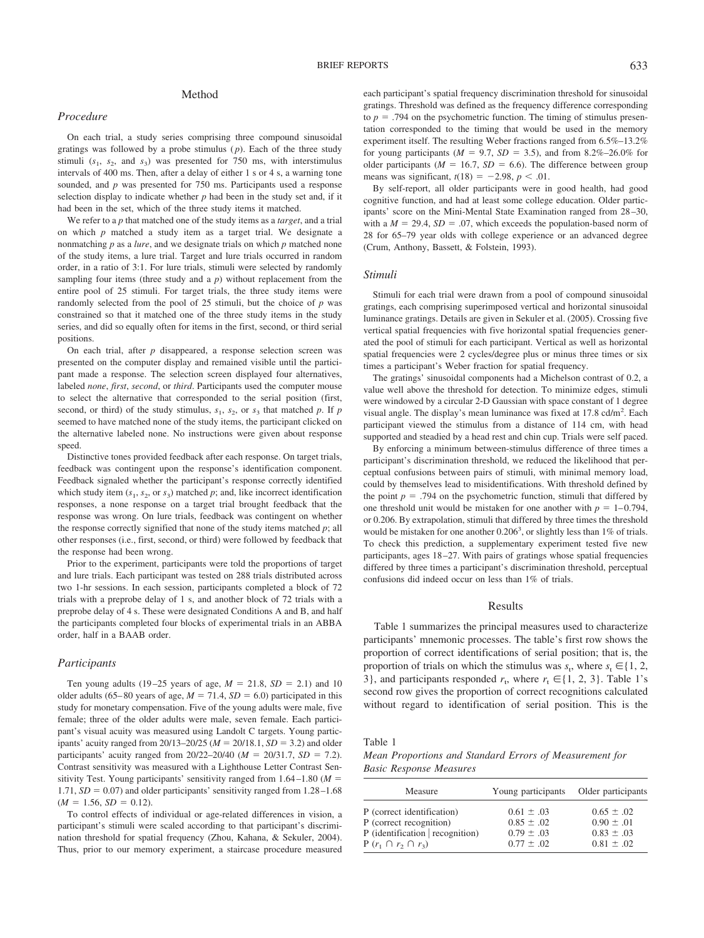# Method

### *Procedure*

On each trial, a study series comprising three compound sinusoidal gratings was followed by a probe stimulus  $(p)$ . Each of the three study stimuli  $(s_1, s_2, \text{ and } s_3)$  was presented for 750 ms, with interstimulus intervals of 400 ms. Then, after a delay of either 1 s or 4 s, a warning tone sounded, and *p* was presented for 750 ms. Participants used a response selection display to indicate whether  $p$  had been in the study set and, if it had been in the set, which of the three study items it matched.

We refer to a *p* that matched one of the study items as a *target*, and a trial on which *p* matched a study item as a target trial. We designate a nonmatching *p* as a *lure*, and we designate trials on which *p* matched none of the study items, a lure trial. Target and lure trials occurred in random order, in a ratio of 3:1. For lure trials, stimuli were selected by randomly sampling four items (three study and a  $p$ ) without replacement from the entire pool of 25 stimuli. For target trials, the three study items were randomly selected from the pool of 25 stimuli, but the choice of *p* was constrained so that it matched one of the three study items in the study series, and did so equally often for items in the first, second, or third serial positions.

On each trial, after *p* disappeared, a response selection screen was presented on the computer display and remained visible until the participant made a response. The selection screen displayed four alternatives, labeled *none*, *first*, *second*, or *third*. Participants used the computer mouse to select the alternative that corresponded to the serial position (first, second, or third) of the study stimulus,  $s_1$ ,  $s_2$ , or  $s_3$  that matched p. If p seemed to have matched none of the study items, the participant clicked on the alternative labeled none. No instructions were given about response speed.

Distinctive tones provided feedback after each response. On target trials, feedback was contingent upon the response's identification component. Feedback signaled whether the participant's response correctly identified which study item  $(s_1, s_2, \text{ or } s_3)$  matched *p*; and, like incorrect identification responses, a none response on a target trial brought feedback that the response was wrong. On lure trials, feedback was contingent on whether the response correctly signified that none of the study items matched *p*; all other responses (i.e., first, second, or third) were followed by feedback that the response had been wrong.

Prior to the experiment, participants were told the proportions of target and lure trials. Each participant was tested on 288 trials distributed across two 1-hr sessions. In each session, participants completed a block of 72 trials with a preprobe delay of 1 s, and another block of 72 trials with a preprobe delay of 4 s. These were designated Conditions A and B, and half the participants completed four blocks of experimental trials in an ABBA order, half in a BAAB order.

## *Participants*

Ten young adults (19–25 years of age,  $M = 21.8$ ,  $SD = 2.1$ ) and 10 older adults (65–80 years of age,  $M = 71.4$ ,  $SD = 6.0$ ) participated in this study for monetary compensation. Five of the young adults were male, five female; three of the older adults were male, seven female. Each participant's visual acuity was measured using Landolt C targets. Young participants' acuity ranged from 20/13–20/25 ( $M = 20/18.1$ ,  $SD = 3.2$ ) and older participants' acuity ranged from  $20/22 - 20/40$  ( $M = 20/31.7$ ,  $SD = 7.2$ ). Contrast sensitivity was measured with a Lighthouse Letter Contrast Sensitivity Test. Young participants' sensitivity ranged from 1.64 –1.80 (*M* 1.71,  $SD = 0.07$ ) and older participants' sensitivity ranged from  $1.28 - 1.68$  $(M = 1.56, SD = 0.12).$ 

To control effects of individual or age-related differences in vision, a participant's stimuli were scaled according to that participant's discrimination threshold for spatial frequency (Zhou, Kahana, & Sekuler, 2004). Thus, prior to our memory experiment, a staircase procedure measured

By self-report, all older participants were in good health, had good cognitive function, and had at least some college education. Older participants' score on the Mini-Mental State Examination ranged from 28 –30, with a  $M = 29.4$ ,  $SD = .07$ , which exceeds the population-based norm of 28 for 65–79 year olds with college experience or an advanced degree (Crum, Anthony, Bassett, & Folstein, 1993).

#### *Stimuli*

Stimuli for each trial were drawn from a pool of compound sinusoidal gratings, each comprising superimposed vertical and horizontal sinusoidal luminance gratings. Details are given in Sekuler et al. (2005). Crossing five vertical spatial frequencies with five horizontal spatial frequencies generated the pool of stimuli for each participant. Vertical as well as horizontal spatial frequencies were 2 cycles/degree plus or minus three times or six times a participant's Weber fraction for spatial frequency.

The gratings' sinusoidal components had a Michelson contrast of 0.2, a value well above the threshold for detection. To minimize edges, stimuli were windowed by a circular 2-D Gaussian with space constant of 1 degree visual angle. The display's mean luminance was fixed at  $17.8$  cd/m<sup>2</sup>. Each participant viewed the stimulus from a distance of 114 cm, with head supported and steadied by a head rest and chin cup. Trials were self paced.

By enforcing a minimum between-stimulus difference of three times a participant's discrimination threshold, we reduced the likelihood that perceptual confusions between pairs of stimuli, with minimal memory load, could by themselves lead to misidentifications. With threshold defined by the point  $p = .794$  on the psychometric function, stimuli that differed by one threshold unit would be mistaken for one another with  $p = 1 - 0.794$ , or 0.206. By extrapolation, stimuli that differed by three times the threshold would be mistaken for one another 0.206<sup>3</sup>, or slightly less than 1% of trials. To check this prediction, a supplementary experiment tested five new participants, ages 18 –27. With pairs of gratings whose spatial frequencies differed by three times a participant's discrimination threshold, perceptual confusions did indeed occur on less than 1% of trials.

## Results

Table 1 summarizes the principal measures used to characterize participants' mnemonic processes. The table's first row shows the proportion of correct identifications of serial position; that is, the proportion of trials on which the stimulus was  $s_t$ , where  $s_t \in \{1, 2, \ldots\}$ 3}, and participants responded  $r_t$ , where  $r_t \in \{1, 2, 3\}$ . Table 1's second row gives the proportion of correct recognitions calculated without regard to identification of serial position. This is the

*Mean Proportions and Standard Errors of Measurement for Basic Response Measures*

| Measure                          | Young participants | Older participants |
|----------------------------------|--------------------|--------------------|
| P (correct identification)       | $0.61 \pm .03$     | $0.65 \pm .02$     |
| P (correct recognition)          | $0.85 \pm .02$     | $0.90 \pm .01$     |
| P (identification   recognition) | $0.79 \pm .03$     | $0.83 \pm .03$     |
| $P(r_1 \cap r_2 \cap r_3)$       | $0.77 \pm .02$     | $0.81 \pm .02$     |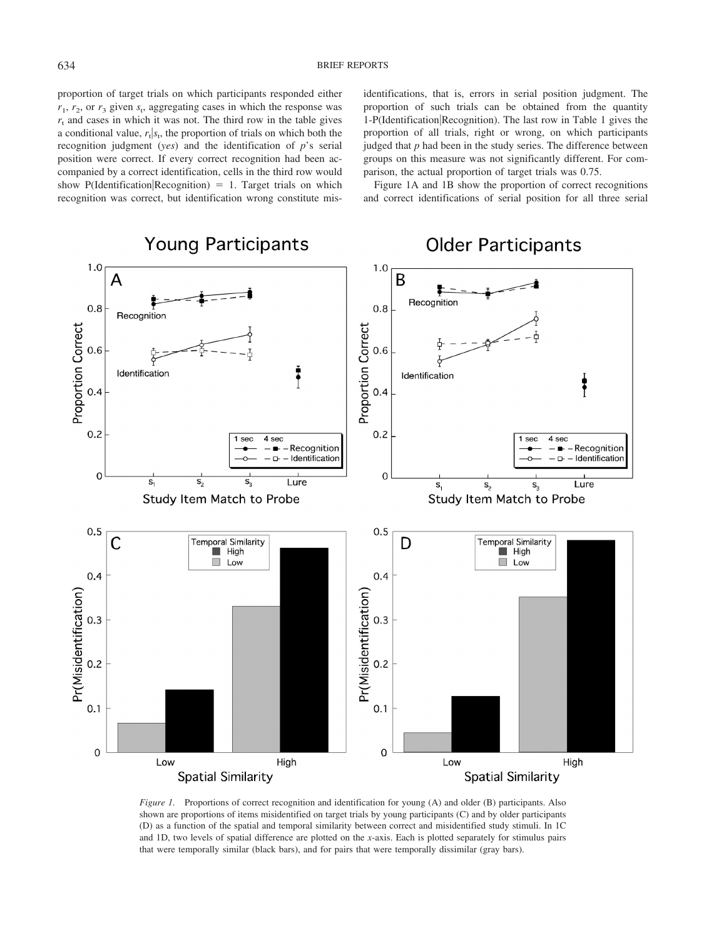proportion of target trials on which participants responded either  $r_1$ ,  $r_2$ , or  $r_3$  given  $s_t$ , aggregating cases in which the response was  $r<sub>t</sub>$  and cases in which it was not. The third row in the table gives a conditional value,  $r_t | s_t$ , the proportion of trials on which both the recognition judgment (*yes*) and the identification of *p*'s serial position were correct. If every correct recognition had been accompanied by a correct identification, cells in the third row would show P(Identification Recognition)  $= 1$ . Target trials on which recognition was correct, but identification wrong constitute mis-

identifications, that is, errors in serial position judgment. The proportion of such trials can be obtained from the quantity 1-P(Identification|Recognition). The last row in Table 1 gives the proportion of all trials, right or wrong, on which participants judged that *p* had been in the study series. The difference between groups on this measure was not significantly different. For comparison, the actual proportion of target trials was 0.75.

Figure 1A and 1B show the proportion of correct recognitions and correct identifications of serial position for all three serial



*Figure 1.* Proportions of correct recognition and identification for young (A) and older (B) participants. Also shown are proportions of items misidentified on target trials by young participants (C) and by older participants (D) as a function of the spatial and temporal similarity between correct and misidentified study stimuli. In 1C and 1D, two levels of spatial difference are plotted on the *x*-axis. Each is plotted separately for stimulus pairs that were temporally similar (black bars), and for pairs that were temporally dissimilar (gray bars).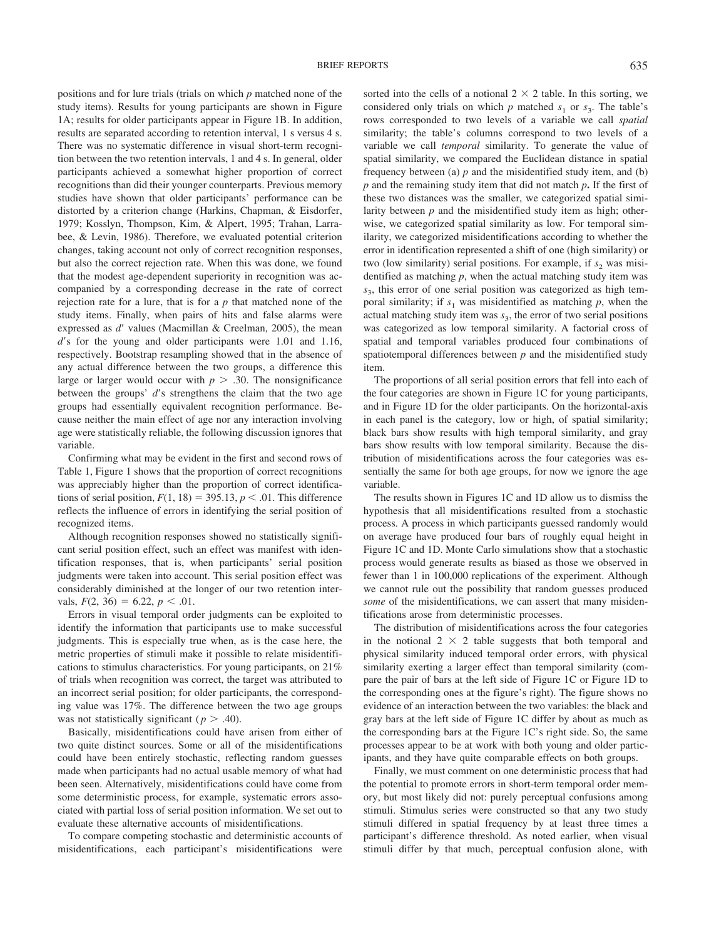positions and for lure trials (trials on which *p* matched none of the study items). Results for young participants are shown in Figure 1A; results for older participants appear in Figure 1B. In addition, results are separated according to retention interval, 1 s versus 4 s. There was no systematic difference in visual short-term recognition between the two retention intervals, 1 and 4 s. In general, older participants achieved a somewhat higher proportion of correct recognitions than did their younger counterparts. Previous memory studies have shown that older participants' performance can be distorted by a criterion change (Harkins, Chapman, & Eisdorfer, 1979; Kosslyn, Thompson, Kim, & Alpert, 1995; Trahan, Larrabee, & Levin, 1986). Therefore, we evaluated potential criterion changes, taking account not only of correct recognition responses, but also the correct rejection rate. When this was done, we found that the modest age-dependent superiority in recognition was accompanied by a corresponding decrease in the rate of correct rejection rate for a lure, that is for a *p* that matched none of the study items. Finally, when pairs of hits and false alarms were expressed as *d'* values (Macmillan & Creelman, 2005), the mean d's for the young and older participants were 1.01 and 1.16, respectively. Bootstrap resampling showed that in the absence of any actual difference between the two groups, a difference this large or larger would occur with  $p > .30$ . The nonsignificance between the groups' d's strengthens the claim that the two age groups had essentially equivalent recognition performance. Because neither the main effect of age nor any interaction involving age were statistically reliable, the following discussion ignores that variable.

Confirming what may be evident in the first and second rows of Table 1, Figure 1 shows that the proportion of correct recognitions was appreciably higher than the proportion of correct identifications of serial position,  $F(1, 18) = 395.13$ ,  $p < .01$ . This difference reflects the influence of errors in identifying the serial position of recognized items.

Although recognition responses showed no statistically significant serial position effect, such an effect was manifest with identification responses, that is, when participants' serial position judgments were taken into account. This serial position effect was considerably diminished at the longer of our two retention intervals,  $F(2, 36) = 6.22, p < .01$ .

Errors in visual temporal order judgments can be exploited to identify the information that participants use to make successful judgments. This is especially true when, as is the case here, the metric properties of stimuli make it possible to relate misidentifications to stimulus characteristics. For young participants, on 21% of trials when recognition was correct, the target was attributed to an incorrect serial position; for older participants, the corresponding value was 17%. The difference between the two age groups was not statistically significant ( $p > .40$ ).

Basically, misidentifications could have arisen from either of two quite distinct sources. Some or all of the misidentifications could have been entirely stochastic, reflecting random guesses made when participants had no actual usable memory of what had been seen. Alternatively, misidentifications could have come from some deterministic process, for example, systematic errors associated with partial loss of serial position information. We set out to evaluate these alternative accounts of misidentifications.

To compare competing stochastic and deterministic accounts of misidentifications, each participant's misidentifications were sorted into the cells of a notional  $2 \times 2$  table. In this sorting, we considered only trials on which  $p$  matched  $s_1$  or  $s_3$ . The table's rows corresponded to two levels of a variable we call *spatial* similarity; the table's columns correspond to two levels of a variable we call *temporal* similarity. To generate the value of spatial similarity, we compared the Euclidean distance in spatial frequency between (a) *p* and the misidentified study item, and (b) *p* and the remaining study item that did not match *p***.** If the first of these two distances was the smaller, we categorized spatial similarity between *p* and the misidentified study item as high; otherwise, we categorized spatial similarity as low. For temporal similarity, we categorized misidentifications according to whether the error in identification represented a shift of one (high similarity) or two (low similarity) serial positions. For example, if  $s<sub>2</sub>$  was misidentified as matching *p*, when the actual matching study item was *s*3, this error of one serial position was categorized as high temporal similarity; if  $s_1$  was misidentified as matching  $p$ , when the actual matching study item was  $s<sub>3</sub>$ , the error of two serial positions was categorized as low temporal similarity. A factorial cross of spatial and temporal variables produced four combinations of spatiotemporal differences between  $p$  and the misidentified study item.

The proportions of all serial position errors that fell into each of the four categories are shown in Figure 1C for young participants, and in Figure 1D for the older participants. On the horizontal-axis in each panel is the category, low or high, of spatial similarity; black bars show results with high temporal similarity, and gray bars show results with low temporal similarity. Because the distribution of misidentifications across the four categories was essentially the same for both age groups, for now we ignore the age variable.

The results shown in Figures 1C and 1D allow us to dismiss the hypothesis that all misidentifications resulted from a stochastic process. A process in which participants guessed randomly would on average have produced four bars of roughly equal height in Figure 1C and 1D. Monte Carlo simulations show that a stochastic process would generate results as biased as those we observed in fewer than 1 in 100,000 replications of the experiment. Although we cannot rule out the possibility that random guesses produced *some* of the misidentifications, we can assert that many misidentifications arose from deterministic processes.

The distribution of misidentifications across the four categories in the notional  $2 \times 2$  table suggests that both temporal and physical similarity induced temporal order errors, with physical similarity exerting a larger effect than temporal similarity (compare the pair of bars at the left side of Figure 1C or Figure 1D to the corresponding ones at the figure's right). The figure shows no evidence of an interaction between the two variables: the black and gray bars at the left side of Figure 1C differ by about as much as the corresponding bars at the Figure 1C's right side. So, the same processes appear to be at work with both young and older participants, and they have quite comparable effects on both groups.

Finally, we must comment on one deterministic process that had the potential to promote errors in short-term temporal order memory, but most likely did not: purely perceptual confusions among stimuli. Stimulus series were constructed so that any two study stimuli differed in spatial frequency by at least three times a participant's difference threshold. As noted earlier, when visual stimuli differ by that much, perceptual confusion alone, with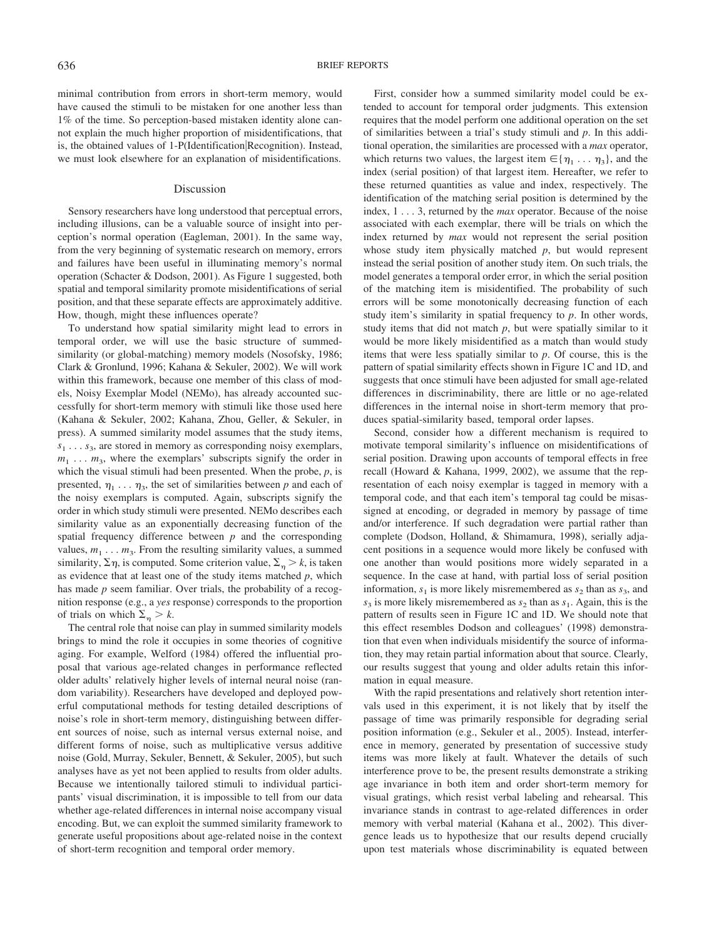minimal contribution from errors in short-term memory, would have caused the stimuli to be mistaken for one another less than 1% of the time. So perception-based mistaken identity alone cannot explain the much higher proportion of misidentifications, that is, the obtained values of 1-P(Identification Recognition). Instead, we must look elsewhere for an explanation of misidentifications.

#### Discussion

Sensory researchers have long understood that perceptual errors, including illusions, can be a valuable source of insight into perception's normal operation (Eagleman, 2001). In the same way, from the very beginning of systematic research on memory, errors and failures have been useful in illuminating memory's normal operation (Schacter & Dodson, 2001). As Figure 1 suggested, both spatial and temporal similarity promote misidentifications of serial position, and that these separate effects are approximately additive. How, though, might these influences operate?

To understand how spatial similarity might lead to errors in temporal order, we will use the basic structure of summedsimilarity (or global-matching) memory models (Nosofsky, 1986; Clark & Gronlund, 1996; Kahana & Sekuler, 2002). We will work within this framework, because one member of this class of models, Noisy Exemplar Model (NEMo), has already accounted successfully for short-term memory with stimuli like those used here (Kahana & Sekuler, 2002; Kahana, Zhou, Geller, & Sekuler, in press). A summed similarity model assumes that the study items,  $s_1 \ldots s_3$ , are stored in memory as corresponding noisy exemplars,  $m_1$ ...  $m_3$ , where the exemplars' subscripts signify the order in which the visual stimuli had been presented. When the probe, *p*, is presented,  $\eta_1 \ldots \eta_3$ , the set of similarities between *p* and each of the noisy exemplars is computed. Again, subscripts signify the order in which study stimuli were presented. NEMo describes each similarity value as an exponentially decreasing function of the spatial frequency difference between *p* and the corresponding values,  $m_1 \ldots m_3$ . From the resulting similarity values, a summed similarity,  $\Sigma \eta$ , is computed. Some criterion value,  $\Sigma_n > k$ , is taken as evidence that at least one of the study items matched *p*, which has made *p* seem familiar. Over trials, the probability of a recognition response (e.g., a *yes* response) corresponds to the proportion of trials on which  $\Sigma_n > k$ .

The central role that noise can play in summed similarity models brings to mind the role it occupies in some theories of cognitive aging. For example, Welford (1984) offered the influential proposal that various age-related changes in performance reflected older adults' relatively higher levels of internal neural noise (random variability). Researchers have developed and deployed powerful computational methods for testing detailed descriptions of noise's role in short-term memory, distinguishing between different sources of noise, such as internal versus external noise, and different forms of noise, such as multiplicative versus additive noise (Gold, Murray, Sekuler, Bennett, & Sekuler, 2005), but such analyses have as yet not been applied to results from older adults. Because we intentionally tailored stimuli to individual participants' visual discrimination, it is impossible to tell from our data whether age-related differences in internal noise accompany visual encoding. But, we can exploit the summed similarity framework to generate useful propositions about age-related noise in the context of short-term recognition and temporal order memory.

First, consider how a summed similarity model could be extended to account for temporal order judgments. This extension requires that the model perform one additional operation on the set of similarities between a trial's study stimuli and *p*. In this additional operation, the similarities are processed with a *max* operator, which returns two values, the largest item  $\in \{ \eta_1, \ldots, \eta_n \}$ , and the index (serial position) of that largest item. Hereafter, we refer to these returned quantities as value and index, respectively. The identification of the matching serial position is determined by the index, 1 . . . 3, returned by the *max* operator. Because of the noise associated with each exemplar, there will be trials on which the index returned by *max* would not represent the serial position whose study item physically matched *p*, but would represent instead the serial position of another study item. On such trials, the model generates a temporal order error, in which the serial position of the matching item is misidentified. The probability of such errors will be some monotonically decreasing function of each study item's similarity in spatial frequency to *p*. In other words, study items that did not match  $p$ , but were spatially similar to it would be more likely misidentified as a match than would study items that were less spatially similar to *p*. Of course, this is the pattern of spatial similarity effects shown in Figure 1C and 1D, and suggests that once stimuli have been adjusted for small age-related differences in discriminability, there are little or no age-related differences in the internal noise in short-term memory that produces spatial-similarity based, temporal order lapses.

Second, consider how a different mechanism is required to motivate temporal similarity's influence on misidentifications of serial position. Drawing upon accounts of temporal effects in free recall (Howard & Kahana, 1999, 2002), we assume that the representation of each noisy exemplar is tagged in memory with a temporal code, and that each item's temporal tag could be misassigned at encoding, or degraded in memory by passage of time and/or interference. If such degradation were partial rather than complete (Dodson, Holland, & Shimamura, 1998), serially adjacent positions in a sequence would more likely be confused with one another than would positions more widely separated in a sequence. In the case at hand, with partial loss of serial position information,  $s_1$  is more likely misremembered as  $s_2$  than as  $s_3$ , and  $s_3$  is more likely misremembered as  $s_2$  than as  $s_1$ . Again, this is the pattern of results seen in Figure 1C and 1D. We should note that this effect resembles Dodson and colleagues' (1998) demonstration that even when individuals misidentify the source of information, they may retain partial information about that source. Clearly, our results suggest that young and older adults retain this information in equal measure.

With the rapid presentations and relatively short retention intervals used in this experiment, it is not likely that by itself the passage of time was primarily responsible for degrading serial position information (e.g., Sekuler et al., 2005). Instead, interference in memory, generated by presentation of successive study items was more likely at fault. Whatever the details of such interference prove to be, the present results demonstrate a striking age invariance in both item and order short-term memory for visual gratings, which resist verbal labeling and rehearsal. This invariance stands in contrast to age-related differences in order memory with verbal material (Kahana et al., 2002). This divergence leads us to hypothesize that our results depend crucially upon test materials whose discriminability is equated between